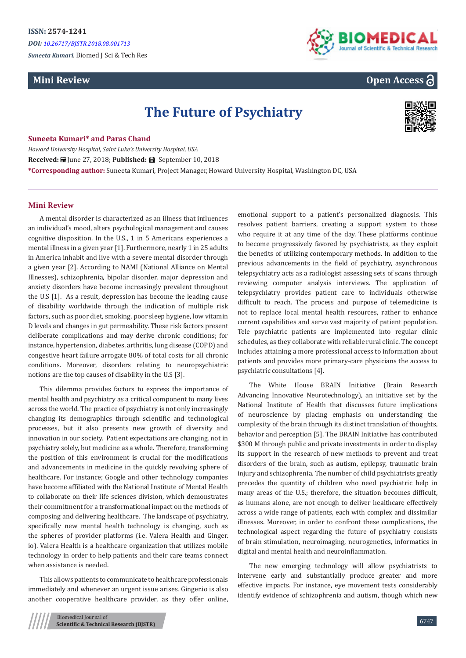*DOI: [10.26717/BJSTR.2018.08.00171](http://dx.doi.org/10.26717/BJSTR.2018.08.001713)3*

*Suneeta Kumari.* Biomed J Sci & Tech Res

## **Mini Review**



# **Open Access**

# **The Future of Psychiatry**



#### **Suneeta Kumari\* and Paras Chand**

*Howard University Hospital, Saint Luke's University Hospital, USA* Received: **iii** June 27, 2018; Published: **iii** September 10, 2018 **\*Corresponding author:** Suneeta Kumari, Project Manager, Howard University Hospital, Washington DC, USA

#### **Mini Review**

A mental disorder is characterized as an illness that influences an individual's mood, alters psychological management and causes cognitive disposition. In the U.S., 1 in 5 Americans experiences a mental illness in a given year [1]. Furthermore, nearly 1 in 25 adults in America inhabit and live with a severe mental disorder through a given year [2]. According to NAMI (National Alliance on Mental Illnesses), schizophrenia, bipolar disorder, major depression and anxiety disorders have become increasingly prevalent throughout the U.S [1]. As a result, depression has become the leading cause of disability worldwide through the indication of multiple risk factors, such as poor diet, smoking, poor sleep hygiene, low vitamin D levels and changes in gut permeability. These risk factors present deliberate complications and may derive chronic conditions; for instance, hypertension, diabetes, arthritis, lung disease (COPD) and congestive heart failure arrogate 80% of total costs for all chronic conditions. Moreover, disorders relating to neuropsychiatric notions are the top causes of disability in the U.S [3].

This dilemma provides factors to express the importance of mental health and psychiatry as a critical component to many lives across the world. The practice of psychiatry is not only increasingly changing its demographics through scientific and technological processes, but it also presents new growth of diversity and innovation in our society. Patient expectations are changing, not in psychiatry solely, but medicine as a whole. Therefore, transforming the position of this environment is crucial for the modifications and advancements in medicine in the quickly revolving sphere of healthcare. For instance; Google and other technology companies have become affiliated with the National Institute of Mental Health to collaborate on their life sciences division, which demonstrates their commitment for a transformational impact on the methods of composing and delivering healthcare. The landscape of psychiatry, specifically new mental health technology is changing, such as the spheres of provider platforms (i.e. Valera Health and Ginger. io). Valera Health is a healthcare organization that utilizes mobile technology in order to help patients and their care teams connect when assistance is needed.

This allows patients to communicate to healthcare professionals immediately and whenever an urgent issue arises. Ginger.io is also another cooperative healthcare provider, as they offer online,

emotional support to a patient's personalized diagnosis. This resolves patient barriers, creating a support system to those who require it at any time of the day. These platforms continue to become progressively favored by psychiatrists, as they exploit the benefits of utilizing contemporary methods. In addition to the previous advancements in the field of psychiatry, asynchronous telepsychiatry acts as a radiologist assessing sets of scans through reviewing computer analysis interviews. The application of telepsychiatry provides patient care to individuals otherwise difficult to reach. The process and purpose of telemedicine is not to replace local mental health resources, rather to enhance current capabilities and serve vast majority of patient population. Tele psychiatric patients are implemented into regular clinic schedules, as they collaborate with reliable rural clinic. The concept includes attaining a more professional access to information about patients and provides more primary-care physicians the access to psychiatric consultations [4].

The White House BRAIN Initiative (Brain Research Advancing Innovative Neurotechnology), an initiative set by the National Institute of Health that discusses future implications of neuroscience by placing emphasis on understanding the complexity of the brain through its distinct translation of thoughts, behavior and perception [5]. The BRAIN Initiative has contributed \$300 M through public and private investments in order to display its support in the research of new methods to prevent and treat disorders of the brain, such as autism, epilepsy, traumatic brain injury and schizophrenia. The number of child psychiatrists greatly precedes the quantity of children who need psychiatric help in many areas of the U.S.; therefore, the situation becomes difficult, as humans alone, are not enough to deliver healthcare effectively across a wide range of patients, each with complex and dissimilar illnesses. Moreover, in order to confront these complications, the technological aspect regarding the future of psychiatry consists of brain stimulation, neuroimaging, neurogenetics, informatics in digital and mental health and neuroinflammation.

The new emerging technology will allow psychiatrists to intervene early and substantially produce greater and more effective impacts. For instance, eye movement tests considerably identify evidence of schizophrenia and autism, though which new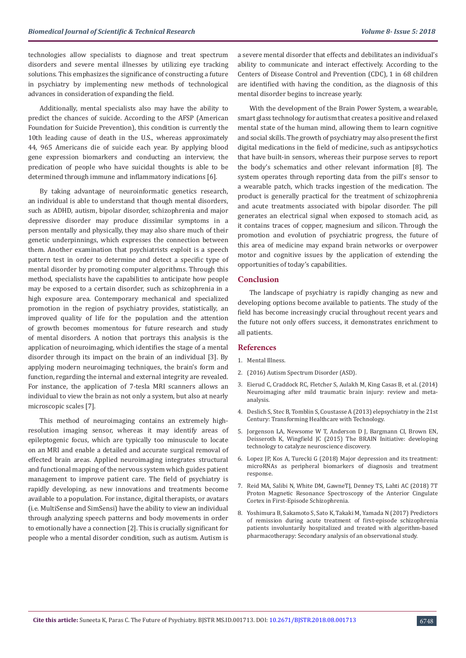technologies allow specialists to diagnose and treat spectrum disorders and severe mental illnesses by utilizing eye tracking solutions. This emphasizes the significance of constructing a future in psychiatry by implementing new methods of technological advances in consideration of expanding the field.

Additionally, mental specialists also may have the ability to predict the chances of suicide. According to the AFSP (American Foundation for Suicide Prevention), this condition is currently the 10th leading cause of death in the U.S., whereas approximately 44, 965 Americans die of suicide each year. By applying blood gene expression biomarkers and conducting an interview, the predication of people who have suicidal thoughts is able to be determined through immune and inflammatory indications [6].

By taking advantage of neuroinformatic genetics research, an individual is able to understand that though mental disorders, such as ADHD, autism, bipolar disorder, schizophrenia and major depressive disorder may produce dissimilar symptoms in a person mentally and physically, they may also share much of their genetic underpinnings, which expresses the connection between them. Another examination that psychiatrists exploit is a speech pattern test in order to determine and detect a specific type of mental disorder by promoting computer algorithms. Through this method, specialists have the capabilities to anticipate how people may be exposed to a certain disorder, such as schizophrenia in a high exposure area. Contemporary mechanical and specialized promotion in the region of psychiatry provides, statistically, an improved quality of life for the population and the attention of growth becomes momentous for future research and study of mental disorders. A notion that portrays this analysis is the application of neuroimaging, which identifies the stage of a mental disorder through its impact on the brain of an individual [3]. By applying modern neuroimaging techniques, the brain's form and function, regarding the internal and external integrity are revealed. For instance, the application of 7-tesla MRI scanners allows an individual to view the brain as not only a system, but also at nearly microscopic scales [7].

This method of neuroimaging contains an extremely highresolution imaging sensor, whereas it may identify areas of epileptogenic focus, which are typically too minuscule to locate on an MRI and enable a detailed and accurate surgical removal of effected brain areas. Applied neuroimaging integrates structural and functional mapping of the nervous system which guides patient management to improve patient care. The field of psychiatry is rapidly developing, as new innovations and treatments become available to a population. For instance, digital therapists, or avatars (i.e. MultiSense and SimSensi) have the ability to view an individual through analyzing speech patterns and body movements in order to emotionally have a connection [2]. This is crucially significant for people who a mental disorder condition, such as autism. Autism is a severe mental disorder that effects and debilitates an individual's ability to communicate and interact effectively. According to the Centers of Disease Control and Prevention (CDC), 1 in 68 children are identified with having the condition, as the diagnosis of this mental disorder begins to increase yearly.

With the development of the Brain Power System, a wearable, smart glass technology for autism that creates a positive and relaxed mental state of the human mind, allowing them to learn cognitive and social skills. The growth of psychiatry may also present the first digital medications in the field of medicine, such as antipsychotics that have built-in sensors, whereas their purpose serves to report the body's schematics and other relevant information [8]. The system operates through reporting data from the pill's sensor to a wearable patch, which tracks ingestion of the medication. The product is generally practical for the treatment of schizophrenia and acute treatments associated with bipolar disorder. The pill generates an electrical signal when exposed to stomach acid, as it contains traces of copper, magnesium and silicon. Through the promotion and evolution of psychiatric progress, the future of this area of medicine may expand brain networks or overpower motor and cognitive issues by the application of extending the opportunities of today's capabilities.

#### **Conclusion**

The landscape of psychiatry is rapidly changing as new and developing options become available to patients. The study of the field has become increasingly crucial throughout recent years and the future not only offers success, it demonstrates enrichment to all patients.

#### **References**

- 1. [Mental Illness.](https://www.nimh.nih.gov/health/statistics/mental-illness.shtml)
- 2. [\(2016\) Autism Spectrum Disorder \(ASD\).](https://www.cdc.gov/ncbddd/autism/data.html)
- 3. [Eierud C, Craddock RC, Fletcher S, Aulakh M, King Casas B, et al. \(2014\)](https://www.ncbi.nlm.nih.gov/pubmed/25061565)  [Neuroimaging after mild traumatic brain injury: review and meta](https://www.ncbi.nlm.nih.gov/pubmed/25061565)[analysis.](https://www.ncbi.nlm.nih.gov/pubmed/25061565)
- 4. [Deslich S, Stec B, Tomblin S, Coustasse A \(2013\) elepsychiatry in the 21st](https://www.ncbi.nlm.nih.gov/pmc/articles/PMC3709879/)  [Century: Transforming Healthcare with Technology.](https://www.ncbi.nlm.nih.gov/pmc/articles/PMC3709879/)
- 5. [Jorgenson LA, Newsome W T, Anderson D J, Bargmann CI, Brown EN,](https://www.ncbi.nlm.nih.gov/pubmed/25823863)  [Deisseroth K, Wingfield JC \(2015\) The BRAIN Initiative: developing](https://www.ncbi.nlm.nih.gov/pubmed/25823863)  [technology to catalyze neuroscience discovery.](https://www.ncbi.nlm.nih.gov/pubmed/25823863)
- 6. [Lopez JP, Kos A, Turecki G \(2018\) Major depression and its treatment:](https://www.ncbi.nlm.nih.gov/pubmed/29076893)  [microRNAs as peripheral biomarkers of diagnosis and treatment](https://www.ncbi.nlm.nih.gov/pubmed/29076893)  [response.](https://www.ncbi.nlm.nih.gov/pubmed/29076893)
- 7. [Reid MA, Salibi N, White DM, GawneTJ, Denney TS, Lahti AC \(2018\) 7T](https://www.ncbi.nlm.nih.gov/pubmed/29385594)  [Proton Magnetic Resonance Spectroscopy of the Anterior Cingulate](https://www.ncbi.nlm.nih.gov/pubmed/29385594)  [Cortex in First-Episode Schizophrenia.](https://www.ncbi.nlm.nih.gov/pubmed/29385594)
- 8. [Yoshimura B, Sakamoto S, Sato K, Takaki M, Yamada N \(2017\) Predictors](https://www.ncbi.nlm.nih.gov/pubmed/29498481)  [of remission during acute treatment of first-episode schizophrenia](https://www.ncbi.nlm.nih.gov/pubmed/29498481)  [patients involuntarily hospitalized and treated with algorithm-based](https://www.ncbi.nlm.nih.gov/pubmed/29498481)  [pharmacotherapy: Secondary analysis of an observational study.](https://www.ncbi.nlm.nih.gov/pubmed/29498481)